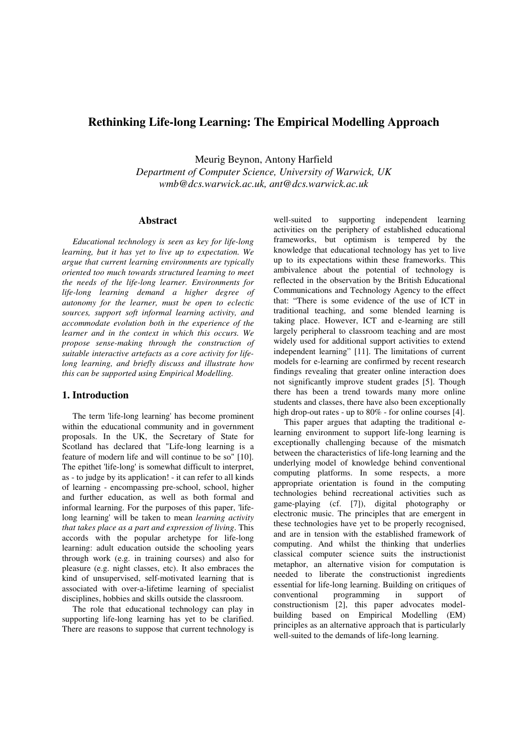# **Rethinking Life-long Learning: The Empirical Modelling Approach**

Meurig Beynon, Antony Harfield

*Department of Computer Science, University of Warwick, UK wmb@dcs.warwick.ac.uk, ant@dcs.warwick.ac.uk* 

### **Abstract**

*Educational technology is seen as key for life-long learning, but it has yet to live up to expectation. We argue that current learning environments are typically oriented too much towards structured learning to meet the needs of the life-long learner. Environments for life-long learning demand a higher degree of autonomy for the learner, must be open to eclectic sources, support soft informal learning activity, and accommodate evolution both in the experience of the learner and in the context in which this occurs. We propose sense-making through the construction of suitable interactive artefacts as a core activity for lifelong learning, and briefly discuss and illustrate how this can be supported using Empirical Modelling.* 

### **1. Introduction**

The term 'life-long learning' has become prominent within the educational community and in government proposals. In the UK, the Secretary of State for Scotland has declared that "Life-long learning is a feature of modern life and will continue to be so" [10]. The epithet 'life-long' is somewhat difficult to interpret, as - to judge by its application! - it can refer to all kinds of learning - encompassing pre-school, school, higher and further education, as well as both formal and informal learning. For the purposes of this paper, 'lifelong learning' will be taken to mean *learning activity that takes place as a part and expression of living*. This accords with the popular archetype for life-long learning: adult education outside the schooling years through work (e.g. in training courses) and also for pleasure (e.g. night classes, etc). It also embraces the kind of unsupervised, self-motivated learning that is associated with over-a-lifetime learning of specialist disciplines, hobbies and skills outside the classroom.

The role that educational technology can play in supporting life-long learning has yet to be clarified. There are reasons to suppose that current technology is

well-suited to supporting independent learning activities on the periphery of established educational frameworks, but optimism is tempered by the knowledge that educational technology has yet to live up to its expectations within these frameworks. This ambivalence about the potential of technology is reflected in the observation by the British Educational Communications and Technology Agency to the effect that: "There is some evidence of the use of ICT in traditional teaching, and some blended learning is taking place. However, ICT and e-learning are still largely peripheral to classroom teaching and are most widely used for additional support activities to extend independent learning" [11]. The limitations of current models for e-learning are confirmed by recent research findings revealing that greater online interaction does not significantly improve student grades [5]. Though there has been a trend towards many more online students and classes, there have also been exceptionally high drop-out rates - up to 80% - for online courses [4].

This paper argues that adapting the traditional elearning environment to support life-long learning is exceptionally challenging because of the mismatch between the characteristics of life-long learning and the underlying model of knowledge behind conventional computing platforms. In some respects, a more appropriate orientation is found in the computing technologies behind recreational activities such as game-playing (cf. [7]), digital photography or electronic music. The principles that are emergent in these technologies have yet to be properly recognised, and are in tension with the established framework of computing. And whilst the thinking that underlies classical computer science suits the instructionist metaphor, an alternative vision for computation is needed to liberate the constructionist ingredients essential for life-long learning. Building on critiques of conventional programming in support of constructionism [2], this paper advocates modelbuilding based on Empirical Modelling (EM) principles as an alternative approach that is particularly well-suited to the demands of life-long learning.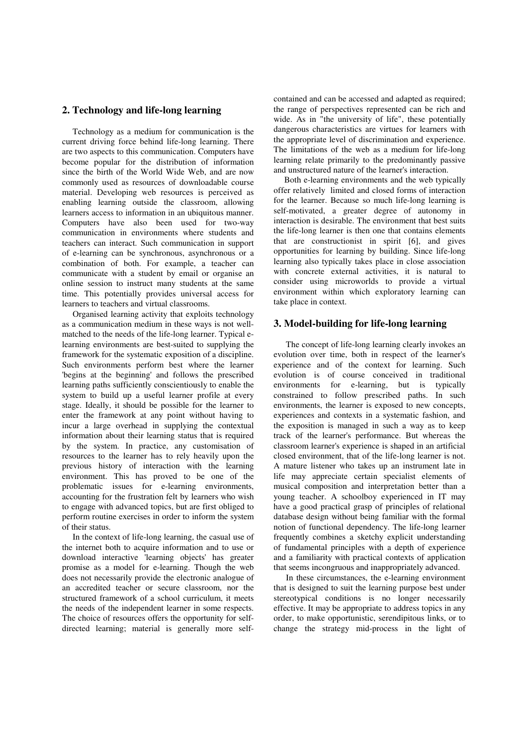### **2. Technology and life-long learning**

Technology as a medium for communication is the current driving force behind life-long learning. There are two aspects to this communication. Computers have become popular for the distribution of information since the birth of the World Wide Web, and are now commonly used as resources of downloadable course material. Developing web resources is perceived as enabling learning outside the classroom, allowing learners access to information in an ubiquitous manner. Computers have also been used for two-way communication in environments where students and teachers can interact. Such communication in support of e-learning can be synchronous, asynchronous or a combination of both. For example, a teacher can communicate with a student by email or organise an online session to instruct many students at the same time. This potentially provides universal access for learners to teachers and virtual classrooms.

Organised learning activity that exploits technology as a communication medium in these ways is not wellmatched to the needs of the life-long learner. Typical elearning environments are best-suited to supplying the framework for the systematic exposition of a discipline. Such environments perform best where the learner 'begins at the beginning' and follows the prescribed learning paths sufficiently conscientiously to enable the system to build up a useful learner profile at every stage. Ideally, it should be possible for the learner to enter the framework at any point without having to incur a large overhead in supplying the contextual information about their learning status that is required by the system. In practice, any customisation of resources to the learner has to rely heavily upon the previous history of interaction with the learning environment. This has proved to be one of the problematic issues for e-learning environments, accounting for the frustration felt by learners who wish to engage with advanced topics, but are first obliged to perform routine exercises in order to inform the system of their status.

In the context of life-long learning, the casual use of the internet both to acquire information and to use or download interactive 'learning objects' has greater promise as a model for e-learning. Though the web does not necessarily provide the electronic analogue of an accredited teacher or secure classroom, nor the structured framework of a school curriculum, it meets the needs of the independent learner in some respects. The choice of resources offers the opportunity for selfdirected learning; material is generally more selfcontained and can be accessed and adapted as required; the range of perspectives represented can be rich and wide. As in "the university of life", these potentially dangerous characteristics are virtues for learners with the appropriate level of discrimination and experience. The limitations of the web as a medium for life-long learning relate primarily to the predominantly passive and unstructured nature of the learner's interaction.

Both e-learning environments and the web typically offer relatively limited and closed forms of interaction for the learner. Because so much life-long learning is self-motivated, a greater degree of autonomy in interaction is desirable. The environment that best suits the life-long learner is then one that contains elements that are constructionist in spirit [6], and gives opportunities for learning by building. Since life-long learning also typically takes place in close association with concrete external activities, it is natural to consider using microworlds to provide a virtual environment within which exploratory learning can take place in context.

## **3. Model-building for life-long learning**

The concept of life-long learning clearly invokes an evolution over time, both in respect of the learner's experience and of the context for learning. Such evolution is of course conceived in traditional environments for e-learning, but is typically constrained to follow prescribed paths. In such environments, the learner is exposed to new concepts, experiences and contexts in a systematic fashion, and the exposition is managed in such a way as to keep track of the learner's performance. But whereas the classroom learner's experience is shaped in an artificial closed environment, that of the life-long learner is not. A mature listener who takes up an instrument late in life may appreciate certain specialist elements of musical composition and interpretation better than a young teacher. A schoolboy experienced in IT may have a good practical grasp of principles of relational database design without being familiar with the formal notion of functional dependency. The life-long learner frequently combines a sketchy explicit understanding of fundamental principles with a depth of experience and a familiarity with practical contexts of application that seems incongruous and inappropriately advanced.

In these circumstances, the e-learning environment that is designed to suit the learning purpose best under stereotypical conditions is no longer necessarily effective. It may be appropriate to address topics in any order, to make opportunistic, serendipitous links, or to change the strategy mid-process in the light of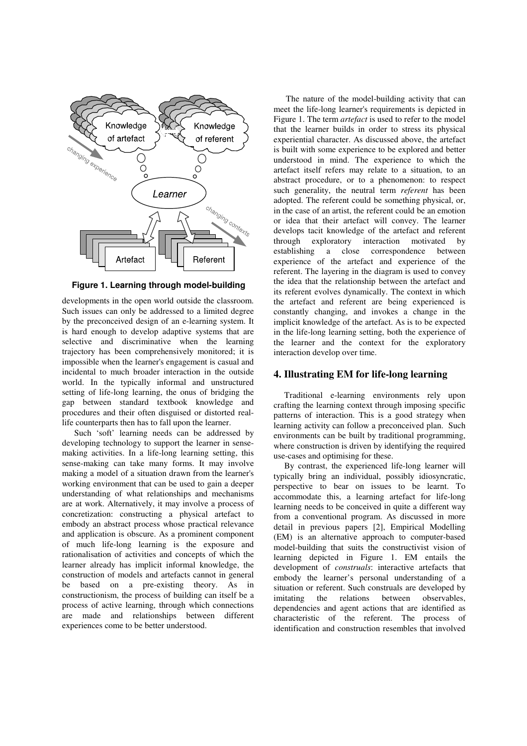

**Figure 1. Learning through model-building** 

developments in the open world outside the classroom. Such issues can only be addressed to a limited degree by the preconceived design of an e-learning system. It is hard enough to develop adaptive systems that are selective and discriminative when the learning trajectory has been comprehensively monitored; it is impossible when the learner's engagement is casual and incidental to much broader interaction in the outside world. In the typically informal and unstructured setting of life-long learning, the onus of bridging the gap between standard textbook knowledge and procedures and their often disguised or distorted reallife counterparts then has to fall upon the learner.

Such 'soft' learning needs can be addressed by developing technology to support the learner in sensemaking activities. In a life-long learning setting, this sense-making can take many forms. It may involve making a model of a situation drawn from the learner's working environment that can be used to gain a deeper understanding of what relationships and mechanisms are at work. Alternatively, it may involve a process of concretization: constructing a physical artefact to embody an abstract process whose practical relevance and application is obscure. As a prominent component of much life-long learning is the exposure and rationalisation of activities and concepts of which the learner already has implicit informal knowledge, the construction of models and artefacts cannot in general be based on a pre-existing theory. As in constructionism, the process of building can itself be a process of active learning, through which connections are made and relationships between different experiences come to be better understood.

The nature of the model-building activity that can meet the life-long learner's requirements is depicted in Figure 1. The term *artefact* is used to refer to the model that the learner builds in order to stress its physical experiential character. As discussed above, the artefact is built with some experience to be explored and better understood in mind. The experience to which the artefact itself refers may relate to a situation, to an abstract procedure, or to a phenomenon: to respect such generality, the neutral term *referent* has been adopted. The referent could be something physical, or, in the case of an artist, the referent could be an emotion or idea that their artefact will convey. The learner develops tacit knowledge of the artefact and referent through exploratory interaction motivated by establishing a close correspondence between experience of the artefact and experience of the referent. The layering in the diagram is used to convey the idea that the relationship between the artefact and its referent evolves dynamically. The context in which the artefact and referent are being experienced is constantly changing, and invokes a change in the implicit knowledge of the artefact. As is to be expected in the life-long learning setting, both the experience of the learner and the context for the exploratory interaction develop over time.

### **4. Illustrating EM for life-long learning**

Traditional e-learning environments rely upon crafting the learning context through imposing specific patterns of interaction. This is a good strategy when learning activity can follow a preconceived plan. Such environments can be built by traditional programming, where construction is driven by identifying the required use-cases and optimising for these.

By contrast, the experienced life-long learner will typically bring an individual, possibly idiosyncratic, perspective to bear on issues to be learnt. To accommodate this, a learning artefact for life-long learning needs to be conceived in quite a different way from a conventional program. As discussed in more detail in previous papers [2], Empirical Modelling (EM) is an alternative approach to computer-based model-building that suits the constructivist vision of learning depicted in Figure 1. EM entails the development of *construals*: interactive artefacts that embody the learner's personal understanding of a situation or referent. Such construals are developed by<br>imitating the relations between observables. imitating the relations between observables, dependencies and agent actions that are identified as characteristic of the referent. The process of identification and construction resembles that involved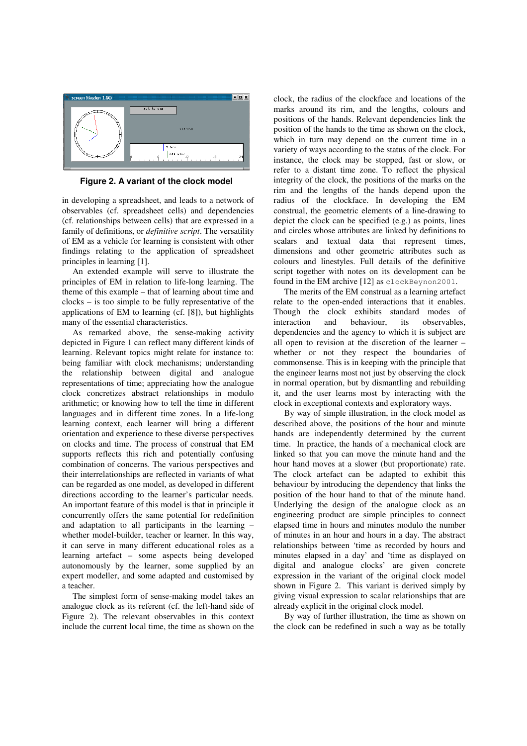

**Figure 2. A variant of the clock model** 

in developing a spreadsheet, and leads to a network of observables (cf. spreadsheet cells) and dependencies (cf. relationships between cells) that are expressed in a family of definitions, or *definitive script*. The versatility of EM as a vehicle for learning is consistent with other findings relating to the application of spreadsheet principles in learning [1].

An extended example will serve to illustrate the principles of EM in relation to life-long learning. The theme of this example – that of learning about time and clocks – is too simple to be fully representative of the applications of EM to learning (cf. [8]), but highlights many of the essential characteristics.

As remarked above, the sense-making activity depicted in Figure 1 can reflect many different kinds of learning. Relevant topics might relate for instance to: being familiar with clock mechanisms; understanding the relationship between digital and analogue representations of time; appreciating how the analogue clock concretizes abstract relationships in modulo arithmetic; or knowing how to tell the time in different languages and in different time zones. In a life-long learning context, each learner will bring a different orientation and experience to these diverse perspectives on clocks and time. The process of construal that EM supports reflects this rich and potentially confusing combination of concerns. The various perspectives and their interrelationships are reflected in variants of what can be regarded as one model, as developed in different directions according to the learner's particular needs. An important feature of this model is that in principle it concurrently offers the same potential for redefinition and adaptation to all participants in the learning – whether model-builder, teacher or learner. In this way, it can serve in many different educational roles as a learning artefact – some aspects being developed autonomously by the learner, some supplied by an expert modeller, and some adapted and customised by a teacher.

The simplest form of sense-making model takes an analogue clock as its referent (cf. the left-hand side of Figure 2). The relevant observables in this context include the current local time, the time as shown on the clock, the radius of the clockface and locations of the marks around its rim, and the lengths, colours and positions of the hands. Relevant dependencies link the position of the hands to the time as shown on the clock, which in turn may depend on the current time in a variety of ways according to the status of the clock. For instance, the clock may be stopped, fast or slow, or refer to a distant time zone. To reflect the physical integrity of the clock, the positions of the marks on the rim and the lengths of the hands depend upon the radius of the clockface. In developing the EM construal, the geometric elements of a line-drawing to depict the clock can be specified (e.g.) as points, lines and circles whose attributes are linked by definitions to scalars and textual data that represent times, dimensions and other geometric attributes such as colours and linestyles. Full details of the definitive script together with notes on its development can be found in the EM archive [12] as clockBeynon2001.

The merits of the EM construal as a learning artefact relate to the open-ended interactions that it enables. Though the clock exhibits standard modes of interaction and behaviour, its observables, dependencies and the agency to which it is subject are all open to revision at the discretion of the learner – whether or not they respect the boundaries of commonsense. This is in keeping with the principle that the engineer learns most not just by observing the clock in normal operation, but by dismantling and rebuilding it, and the user learns most by interacting with the clock in exceptional contexts and exploratory ways.

By way of simple illustration, in the clock model as described above, the positions of the hour and minute hands are independently determined by the current time. In practice, the hands of a mechanical clock are linked so that you can move the minute hand and the hour hand moves at a slower (but proportionate) rate. The clock artefact can be adapted to exhibit this behaviour by introducing the dependency that links the position of the hour hand to that of the minute hand. Underlying the design of the analogue clock as an engineering product are simple principles to connect elapsed time in hours and minutes modulo the number of minutes in an hour and hours in a day. The abstract relationships between 'time as recorded by hours and minutes elapsed in a day' and 'time as displayed on digital and analogue clocks' are given concrete expression in the variant of the original clock model shown in Figure 2. This variant is derived simply by giving visual expression to scalar relationships that are already explicit in the original clock model.

By way of further illustration, the time as shown on the clock can be redefined in such a way as be totally